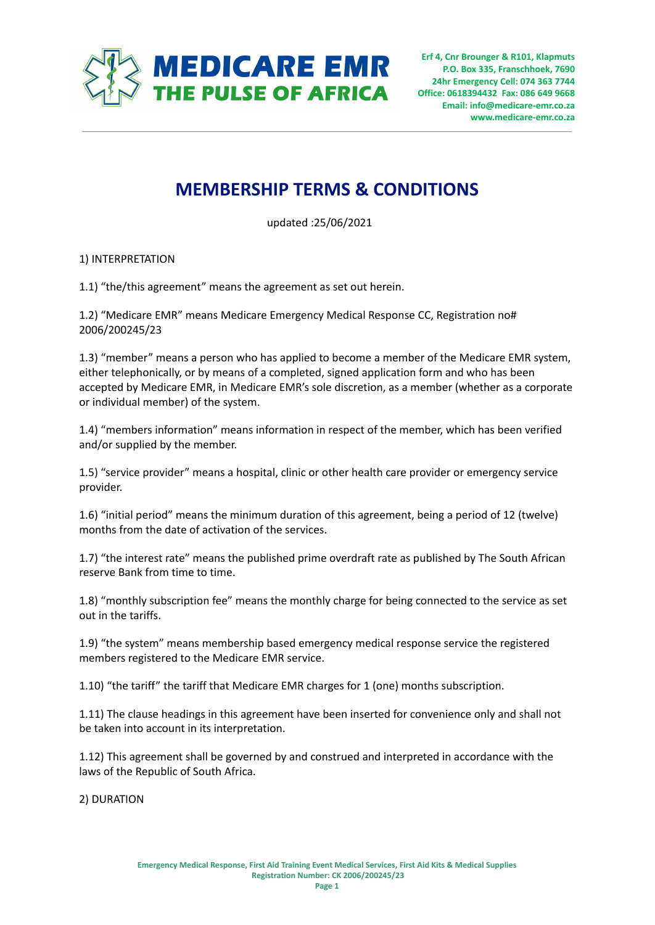

**Erf 4, Cnr Brounger & R101, Klapmuts P.O. Box 335, Franschhoek, 7690 24hr Emergency Cell: 074 363 7744 Office: 0618394432 Fax: 086 649 9668 Email: info@medicare-emr.co.za www.medicare-emr.co.za**

# **MEMBERSHIP TERMS & CONDITIONS**

updated :25/06/2021

# 1) INTERPRETATION

1.1) "the/this agreement" means the agreement as set out herein.

1.2) "Medicare EMR" means Medicare Emergency Medical Response CC, Registration no# 2006/200245/23

1.3) "member" means a person who has applied to become a member of the Medicare EMR system, either telephonically, or by means of a completed, signed application form and who has been accepted by Medicare EMR, in Medicare EMR's sole discretion, as a member (whether as a corporate or individual member) of the system.

1.4) "members information" means information in respect of the member, which has been verified and/or supplied by the member.

1.5) "service provider" means a hospital, clinic or other health care provider or emergency service provider.

1.6) "initial period" means the minimum duration of this agreement, being a period of 12 (twelve) months from the date of activation of the services.

1.7) "the interest rate" means the published prime overdraft rate as published by The South African reserve Bank from time to time.

1.8) "monthly subscription fee" means the monthly charge for being connected to the service as set out in the tariffs.

1.9) "the system" means membership based emergency medical response service the registered members registered to the Medicare EMR service.

1.10) "the tariff" the tariff that Medicare EMR charges for 1 (one) months subscription.

1.11) The clause headings in this agreement have been inserted for convenience only and shall not be taken into account in its interpretation.

1.12) This agreement shall be governed by and construed and interpreted in accordance with the laws of the Republic of South Africa.

2) DURATION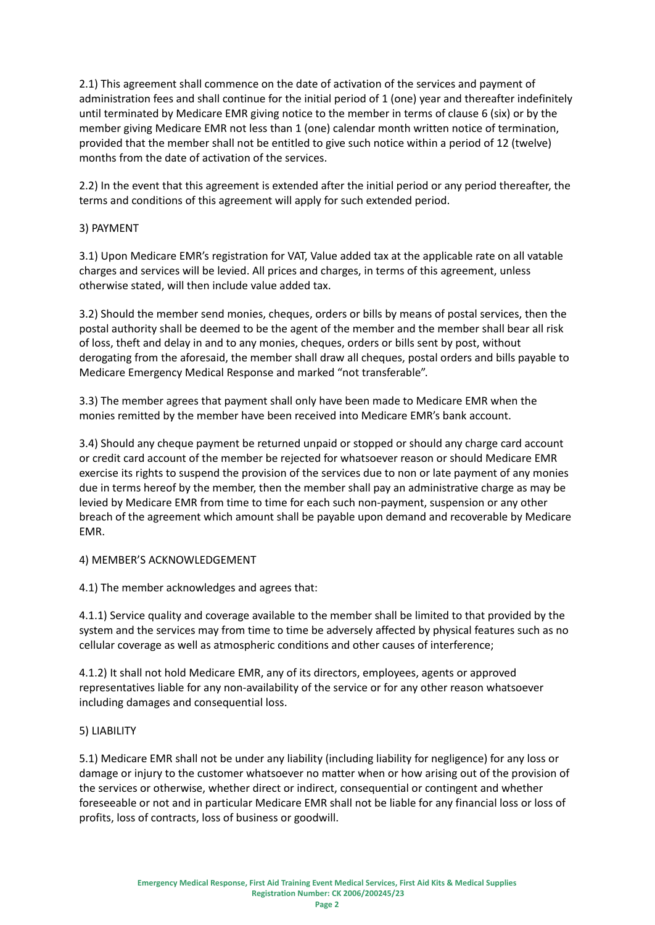2.1) This agreement shall commence on the date of activation of the services and payment of administration fees and shall continue for the initial period of 1 (one) year and thereafter indefinitely until terminated by Medicare EMR giving notice to the member in terms of clause 6 (six) or by the member giving Medicare EMR not less than 1 (one) calendar month written notice of termination, provided that the member shall not be entitled to give such notice within a period of 12 (twelve) months from the date of activation of the services.

2.2) In the event that this agreement is extended after the initial period or any period thereafter, the terms and conditions of this agreement will apply for such extended period.

# 3) PAYMENT

3.1) Upon Medicare EMR's registration for VAT, Value added tax at the applicable rate on all vatable charges and services will be levied. All prices and charges, in terms of this agreement, unless otherwise stated, will then include value added tax.

3.2) Should the member send monies, cheques, orders or bills by means of postal services, then the postal authority shall be deemed to be the agent of the member and the member shall bear all risk of loss, theft and delay in and to any monies, cheques, orders or bills sent by post, without derogating from the aforesaid, the member shall draw all cheques, postal orders and bills payable to Medicare Emergency Medical Response and marked "not transferable".

3.3) The member agrees that payment shall only have been made to Medicare EMR when the monies remitted by the member have been received into Medicare EMR's bank account.

3.4) Should any cheque payment be returned unpaid or stopped or should any charge card account or credit card account of the member be rejected for whatsoever reason or should Medicare EMR exercise its rights to suspend the provision of the services due to non or late payment of any monies due in terms hereof by the member, then the member shall pay an administrative charge as may be levied by Medicare EMR from time to time for each such non-payment, suspension or any other breach of the agreement which amount shall be payable upon demand and recoverable by Medicare EMR.

# 4) MEMBER'S ACKNOWLEDGEMENT

4.1) The member acknowledges and agrees that:

4.1.1) Service quality and coverage available to the member shall be limited to that provided by the system and the services may from time to time be adversely affected by physical features such as no cellular coverage as well as atmospheric conditions and other causes of interference;

4.1.2) It shall not hold Medicare EMR, any of its directors, employees, agents or approved representatives liable for any non-availability of the service or for any other reason whatsoever including damages and consequential loss.

#### 5) LIABILITY

5.1) Medicare EMR shall not be under any liability (including liability for negligence) for any loss or damage or injury to the customer whatsoever no matter when or how arising out of the provision of the services or otherwise, whether direct or indirect, consequential or contingent and whether foreseeable or not and in particular Medicare EMR shall not be liable for any financial loss or loss of profits, loss of contracts, loss of business or goodwill.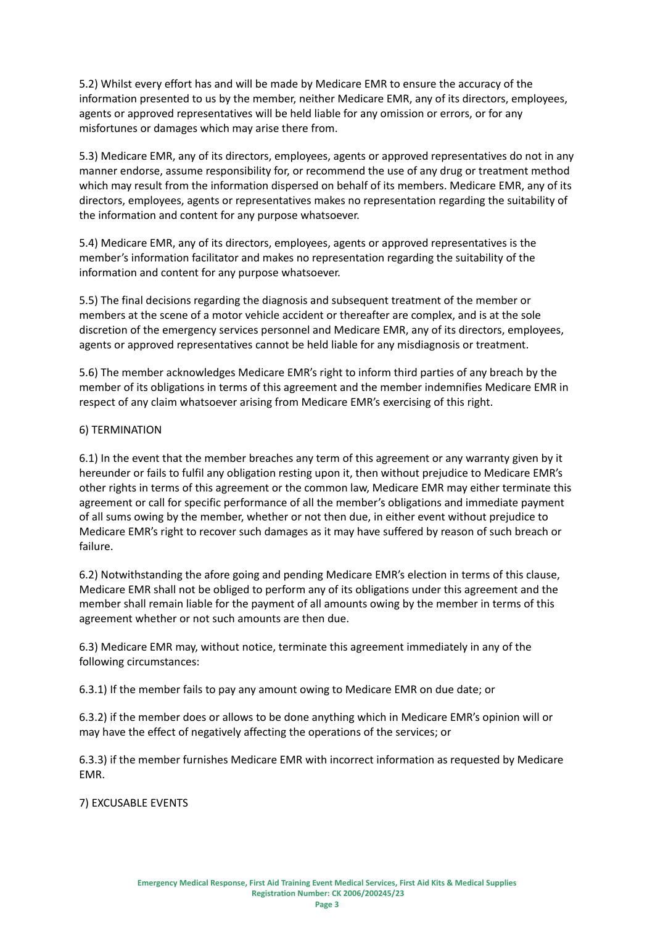5.2) Whilst every effort has and will be made by Medicare EMR to ensure the accuracy of the information presented to us by the member, neither Medicare EMR, any of its directors, employees, agents or approved representatives will be held liable for any omission or errors, or for any misfortunes or damages which may arise there from.

5.3) Medicare EMR, any of its directors, employees, agents or approved representatives do not in any manner endorse, assume responsibility for, or recommend the use of any drug or treatment method which may result from the information dispersed on behalf of its members. Medicare EMR, any of its directors, employees, agents or representatives makes no representation regarding the suitability of the information and content for any purpose whatsoever.

5.4) Medicare EMR, any of its directors, employees, agents or approved representatives is the member's information facilitator and makes no representation regarding the suitability of the information and content for any purpose whatsoever.

5.5) The final decisions regarding the diagnosis and subsequent treatment of the member or members at the scene of a motor vehicle accident or thereafter are complex, and is at the sole discretion of the emergency services personnel and Medicare EMR, any of its directors, employees, agents or approved representatives cannot be held liable for any misdiagnosis or treatment.

5.6) The member acknowledges Medicare EMR's right to inform third parties of any breach by the member of its obligations in terms of this agreement and the member indemnifies Medicare EMR in respect of any claim whatsoever arising from Medicare EMR's exercising of this right.

# 6) TERMINATION

6.1) In the event that the member breaches any term of this agreement or any warranty given by it hereunder or fails to fulfil any obligation resting upon it, then without prejudice to Medicare EMR's other rights in terms of this agreement or the common law, Medicare EMR may either terminate this agreement or call for specific performance of all the member's obligations and immediate payment of all sums owing by the member, whether or not then due, in either event without prejudice to Medicare EMR's right to recover such damages as it may have suffered by reason of such breach or failure.

6.2) Notwithstanding the afore going and pending Medicare EMR's election in terms of this clause, Medicare EMR shall not be obliged to perform any of its obligations under this agreement and the member shall remain liable for the payment of all amounts owing by the member in terms of this agreement whether or not such amounts are then due.

6.3) Medicare EMR may, without notice, terminate this agreement immediately in any of the following circumstances:

6.3.1) If the member fails to pay any amount owing to Medicare EMR on due date; or

6.3.2) if the member does or allows to be done anything which in Medicare EMR's opinion will or may have the effect of negatively affecting the operations of the services; or

6.3.3) if the member furnishes Medicare EMR with incorrect information as requested by Medicare EMR.

7) EXCUSABLE EVENTS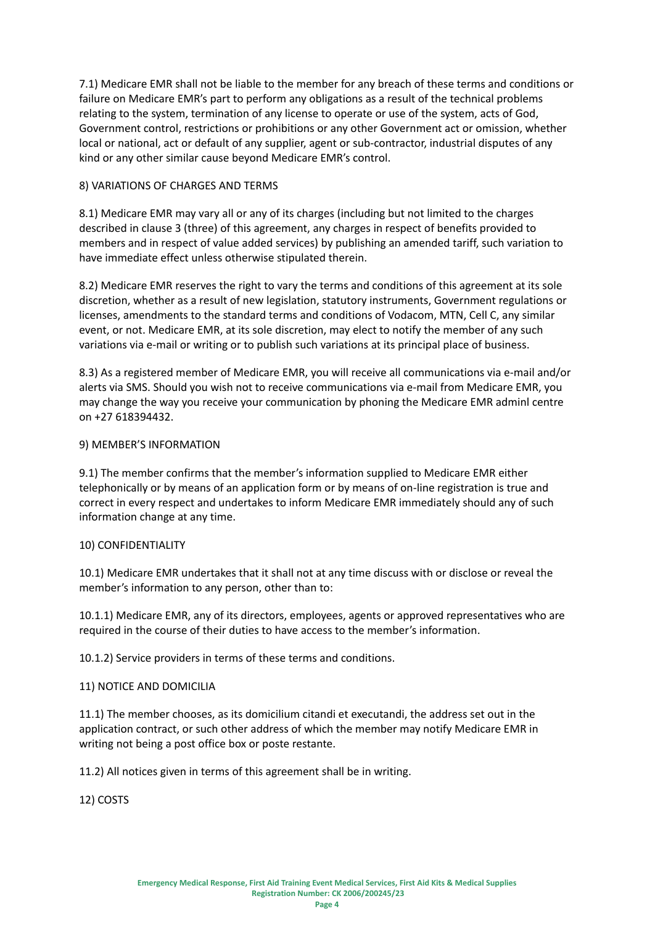7.1) Medicare EMR shall not be liable to the member for any breach of these terms and conditions or failure on Medicare EMR's part to perform any obligations as a result of the technical problems relating to the system, termination of any license to operate or use of the system, acts of God, Government control, restrictions or prohibitions or any other Government act or omission, whether local or national, act or default of any supplier, agent or sub-contractor, industrial disputes of any kind or any other similar cause beyond Medicare EMR's control.

#### 8) VARIATIONS OF CHARGES AND TERMS

8.1) Medicare EMR may vary all or any of its charges (including but not limited to the charges described in clause 3 (three) of this agreement, any charges in respect of benefits provided to members and in respect of value added services) by publishing an amended tariff, such variation to have immediate effect unless otherwise stipulated therein.

8.2) Medicare EMR reserves the right to vary the terms and conditions of this agreement at its sole discretion, whether as a result of new legislation, statutory instruments, Government regulations or licenses, amendments to the standard terms and conditions of Vodacom, MTN, Cell C, any similar event, or not. Medicare EMR, at its sole discretion, may elect to notify the member of any such variations via e-mail or writing or to publish such variations at its principal place of business.

8.3) As a registered member of Medicare EMR, you will receive all communications via e-mail and/or alerts via SMS. Should you wish not to receive communications via e-mail from Medicare EMR, you may change the way you receive your communication by phoning the Medicare EMR adminl centre on +27 618394432.

# 9) MEMBER'S INFORMATION

9.1) The member confirms that the member's information supplied to Medicare EMR either telephonically or by means of an application form or by means of on-line registration is true and correct in every respect and undertakes to inform Medicare EMR immediately should any of such information change at any time.

#### 10) CONFIDENTIALITY

10.1) Medicare EMR undertakes that it shall not at any time discuss with or disclose or reveal the member's information to any person, other than to:

10.1.1) Medicare EMR, any of its directors, employees, agents or approved representatives who are required in the course of their duties to have access to the member's information.

10.1.2) Service providers in terms of these terms and conditions.

#### 11) NOTICE AND DOMICILIA

11.1) The member chooses, as its domicilium citandi et executandi, the address set out in the application contract, or such other address of which the member may notify Medicare EMR in writing not being a post office box or poste restante.

11.2) All notices given in terms of this agreement shall be in writing.

12) COSTS